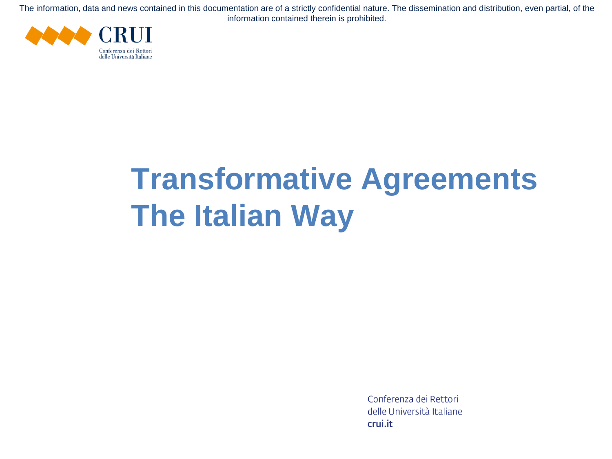

# **Transformative Agreements The Italian Way**

Conferenza dei Rettori delle Università Italiane crui.it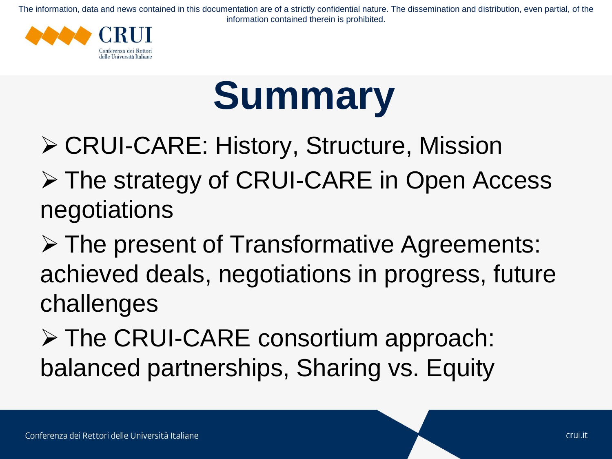

# **Summary**

➢ CRUI-CARE: History, Structure, Mission

➢ The strategy of CRUI-CARE in Open Access negotiations

➢ The present of Transformative Agreements: achieved deals, negotiations in progress, future challenges

➢ The CRUI-CARE consortium approach: balanced partnerships, Sharing vs. Equity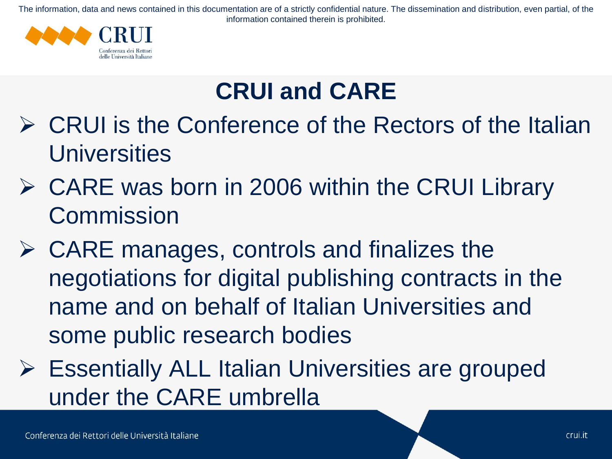

## **CRUI and CARE**

- ➢ CRUI is the Conference of the Rectors of the Italian **Universities**
- ➢ CARE was born in 2006 within the CRUI Library **Commission**
- $\triangleright$  CARE manages, controls and finalizes the negotiations for digital publishing contracts in the name and on behalf of Italian Universities and some public research bodies
- ➢ Essentially ALL Italian Universities are grouped under the CARE umbrella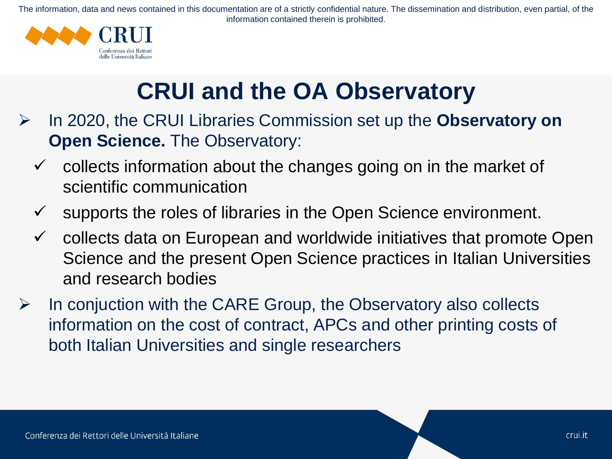

## **CRUI and the OA Observatory**

- ➢ In 2020, the CRUI Libraries Commission set up the **Observatory on Open Science.** The Observatory:
	- $\checkmark$  collects information about the changes going on in the market of scientific communication
	- $\checkmark$  supports the roles of libraries in the Open Science environment.
	- $\checkmark$  collects data on European and worldwide initiatives that promote Open Science and the present Open Science practices in Italian Universities and research bodies
- $\triangleright$  In conjuction with the CARE Group, the Observatory also collects information on the cost of contract, APCs and other printing costs of both Italian Universities and single researchers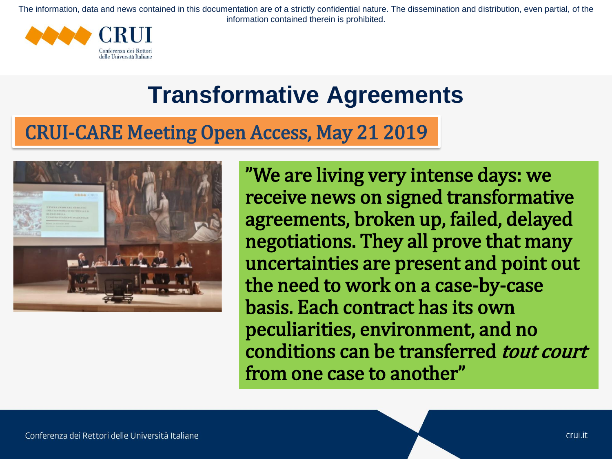

## **Transformative Agreements**

#### CRUI-CARE Meeting Open Access, May 21 2019



"We are living very intense days: we receive news on signed transformative agreements, broken up, failed, delayed negotiations. They all prove that many uncertainties are present and point out the need to work on a case-by-case basis. Each contract has its own peculiarities, environment, and no conditions can be transferred tout court from one case to another"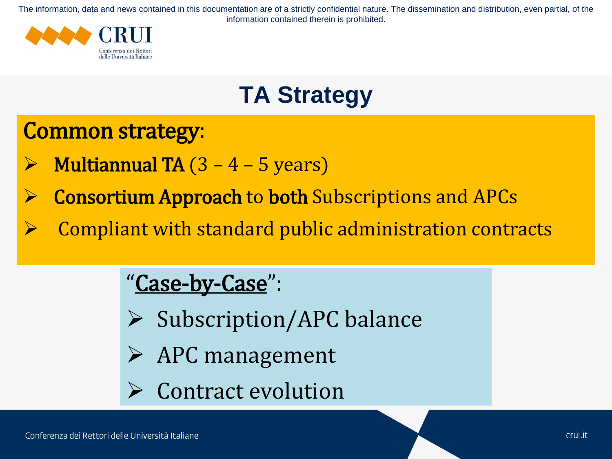

## **TA Strategy**

#### Common strategy:

- **Multiannual TA**  $(3 4 5$  years)
- ➢ Consortium Approach to both Subscriptions and APCs
- ➢ Compliant with standard public administration contracts

#### "Case-by-Case":

- ➢ Subscription/APC balance
- ➢ APC management
	- ➢ Contract evolution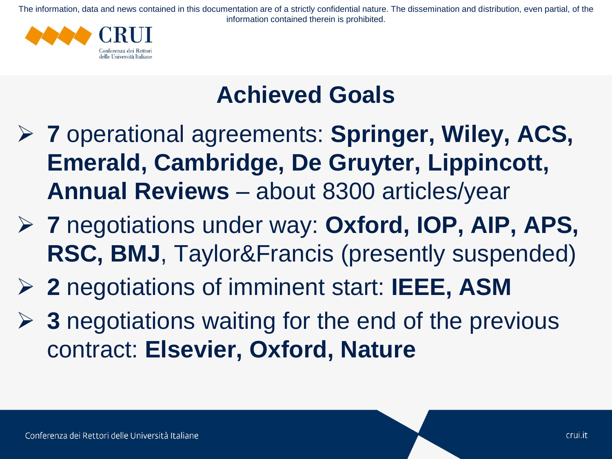

## **Achieved Goals**

- ➢ **7** operational agreements: **Springer, Wiley, ACS, Emerald, Cambridge, De Gruyter, Lippincott, Annual Reviews** – about 8300 articles/year
- ➢ **7** negotiations under way: **Oxford, IOP, AIP, APS, RSC, BMJ**, Taylor&Francis (presently suspended)
- ➢ **2** negotiations of imminent start: **IEEE, ASM**
- ➢ **3** negotiations waiting for the end of the previous contract: **Elsevier, Oxford, Nature**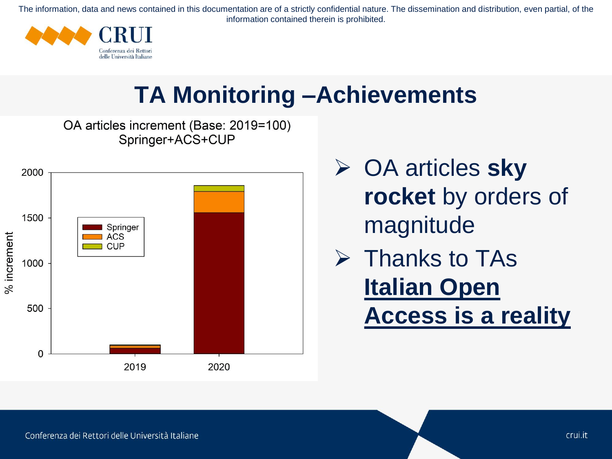

## **TA Monitoring –Achievements**

OA articles increment (Base: 2019=100) Springer+ACS+CUP



- ➢ OA articles **sky rocket** by orders of magnitude
- ➢ Thanks to TAs **Italian Open Access is a reality**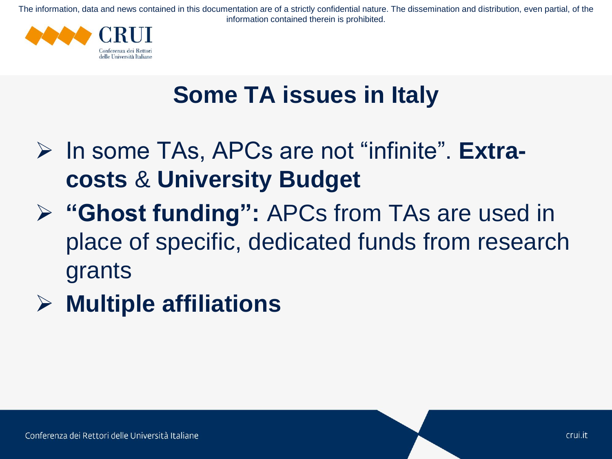

## **Some TA issues in Italy**

- ➢ In some TAs, APCs are not "infinite". **Extracosts** & **University Budget**
- ➢ **"Ghost funding":** APCs from TAs are used in place of specific, dedicated funds from research grants
- ➢ **Multiple affiliations**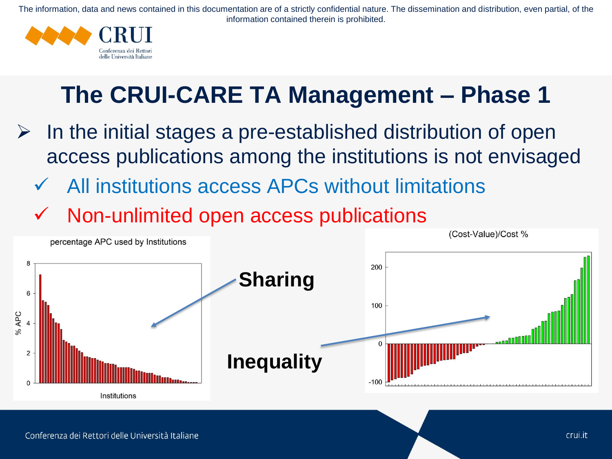

## **The CRUI-CARE TA Management – Phase 1**

- $\triangleright$  In the initial stages a pre-established distribution of open access publications among the institutions is not envisaged
	- All institutions access APCs without limitations
	- ✓ Non-unlimited open access publications

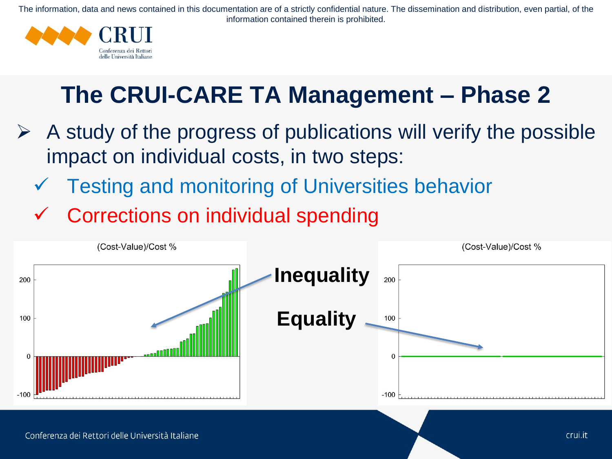

## **The CRUI-CARE TA Management – Phase 2**

- $\triangleright$  A study of the progress of publications will verify the possible impact on individual costs, in two steps:
	- Testing and monitoring of Universities behavior
	- Corrections on individual spending